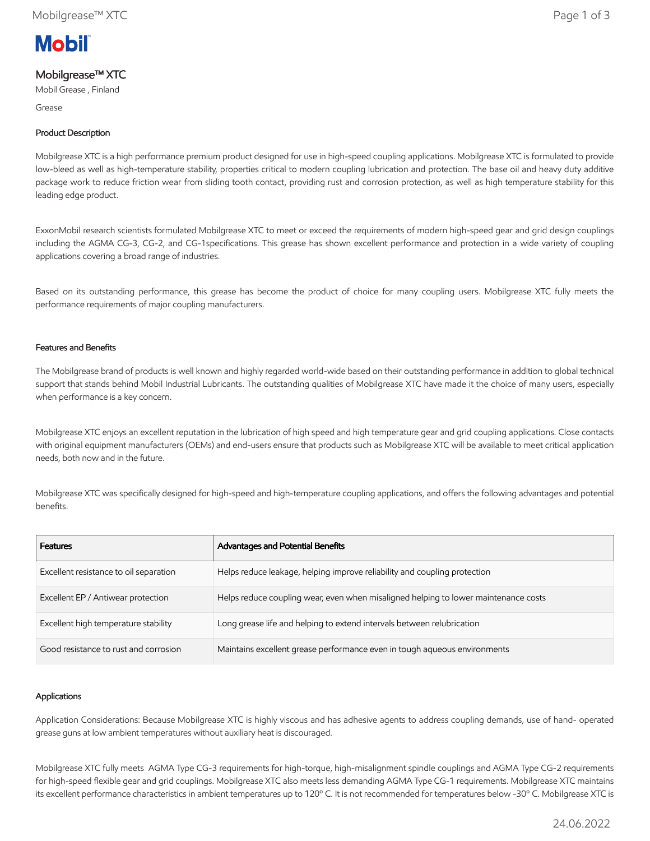

# Mobilgrease™ XTC

Mobil Grease , Finland

Grease

## Product Description

Mobilgrease XTC is a high performance premium product designed for use in high-speed coupling applications. Mobilgrease XTC is formulated to provide low-bleed as well as high-temperature stability, properties critical to modern coupling lubrication and protection. The base oil and heavy duty additive package work to reduce friction wear from sliding tooth contact, providing rust and corrosion protection, as well as high temperature stability for this leading edge product.

ExxonMobil research scientists formulated Mobilgrease XTC to meet or exceed the requirements of modern high-speed gear and grid design couplings including the AGMA CG-3, CG-2, and CG-1specifications. This grease has shown excellent performance and protection in a wide variety of coupling applications covering a broad range of industries.

Based on its outstanding performance, this grease has become the product of choice for many coupling users. Mobilgrease XTC fully meets the performance requirements of major coupling manufacturers.

### Features and Benefits

The Mobilgrease brand of products is well known and highly regarded world-wide based on their outstanding performance in addition to global technical support that stands behind Mobil Industrial Lubricants. The outstanding qualities of Mobilgrease XTC have made it the choice of many users, especially when performance is a key concern.

Mobilgrease XTC enjoys an excellent reputation in the lubrication of high speed and high temperature gear and grid coupling applications. Close contacts with original equipment manufacturers (OEMs) and end-users ensure that products such as Mobilgrease XTC will be available to meet critical application needs, both now and in the future.

Mobilgrease XTC was specifically designed for high-speed and high-temperature coupling applications, and offers the following advantages and potential benefits.

| <b>Features</b>                        | Advantages and Potential Benefits                                                   |
|----------------------------------------|-------------------------------------------------------------------------------------|
| Excellent resistance to oil separation | Helps reduce leakage, helping improve reliability and coupling protection           |
| Excellent EP / Antiwear protection     | Helps reduce coupling wear, even when misaligned helping to lower maintenance costs |
| Excellent high temperature stability   | Long grease life and helping to extend intervals between relubrication              |
| Good resistance to rust and corrosion  | Maintains excellent grease performance even in tough aqueous environments           |

### Applications

Application Considerations: Because Mobilgrease XTC is highly viscous and has adhesive agents to address coupling demands, use of hand- operated grease guns at low ambient temperatures without auxiliary heat is discouraged.

Mobilgrease XTC fully meets AGMA Type CG-3 requirements for high-torque, high-misalignment spindle couplings and AGMA Type CG-2 requirements for high-speed flexible gear and grid couplings. Mobilgrease XTC also meets less demanding AGMA Type CG-1 requirements. Mobilgrease XTC maintains its excellent performance characteristics in ambient temperatures up to 120º C. It is not recommended for temperatures below -30º C. Mobilgrease XTC is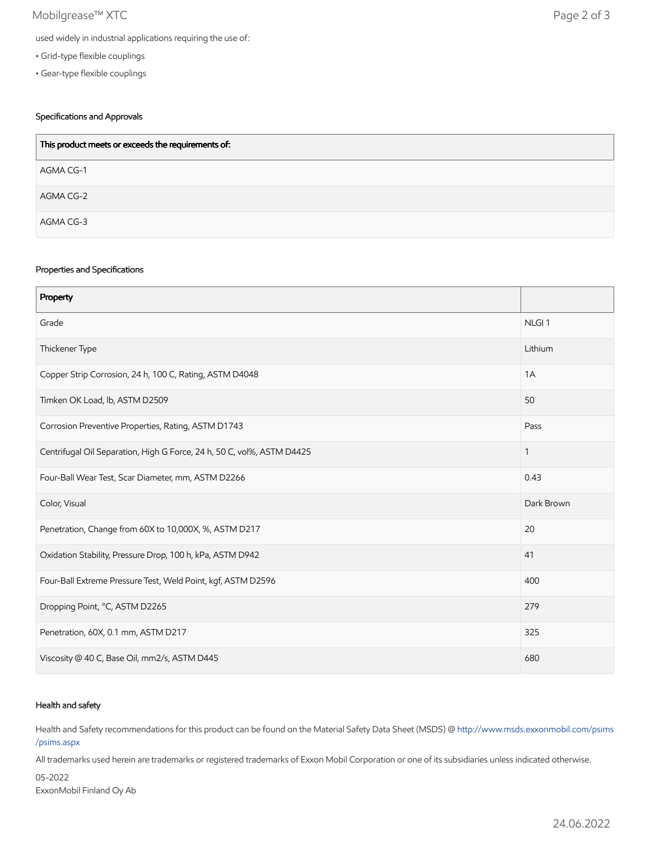## Mobilgrease™ XTC Page 2 of 3

- Grid-type flexible couplings
- Gear-type flexible couplings

## Specifications and Approvals

| This product meets or exceeds the requirements of: |
|----------------------------------------------------|
| AGMA CG-1                                          |
| AGMA CG-2                                          |
| AGMA CG-3                                          |

### Properties and Specifications

| Property                                                               |                   |
|------------------------------------------------------------------------|-------------------|
| Grade                                                                  | NLGI <sub>1</sub> |
| Thickener Type                                                         | Lithium           |
| Copper Strip Corrosion, 24 h, 100 C, Rating, ASTM D4048                | 1A                |
| Timken OK Load, lb, ASTM D2509                                         | 50                |
| Corrosion Preventive Properties, Rating, ASTM D1743                    | Pass              |
| Centrifugal Oil Separation, High G Force, 24 h, 50 C, vol%, ASTM D4425 | $\mathbf{1}$      |
| Four-Ball Wear Test, Scar Diameter, mm, ASTM D2266                     | 0.43              |
| Color, Visual                                                          | Dark Brown        |
| Penetration, Change from 60X to 10,000X, %, ASTM D217                  | 20                |
| Oxidation Stability, Pressure Drop, 100 h, kPa, ASTM D942              | 41                |
| Four-Ball Extreme Pressure Test, Weld Point, kgf, ASTM D2596           | 400               |
| Dropping Point, °C, ASTM D2265                                         | 279               |
| Penetration, 60X, 0.1 mm, ASTM D217                                    | 325               |
| Viscosity @ 40 C, Base Oil, mm2/s, ASTM D445                           | 680               |

### Health and safety

Health and Safety recommendations for this product can be found on the Material Safety Data Sheet (MSDS) @ [http://www.msds.exxonmobil.com/psims](http://www.msds.exxonmobil.com/psims/psims.aspx) /psims.aspx

All trademarks used herein are trademarks or registered trademarks of Exxon Mobil Corporation or one of its subsidiaries unless indicated otherwise.

05-2022 ExxonMobil Finland Oy Ab